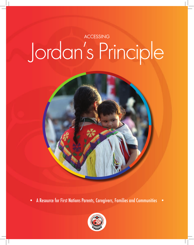# ACCESSING Jordan's Principle



• A Resource for First Nations Parents, Caregivers, Families and Communities •

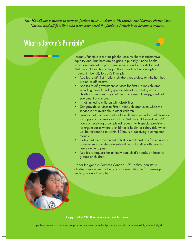$\frac{1}{2}$ *This Handbook is meant to honour Jordan River Anderson, his family, the Norway House Cree Nation, and all families who have advocated for Jordan's Principle to become a reality.*

# What is Jordan's Principle?

Jordan's Principle is a principle that ensures there is substantive equality and that there are no gaps in publicly-funded health, social and education programs, services and supports for First Nations children. According to the Canadian Human Rights Tribunal (Tribunal), Jordan's Principle:

- Applies to *all* First Nations children, regardless of whether they live on or off-reserve.
- Applies to *all* government services for First Nations children including mental health, special education, dental, early childhood services, physical therapy, speech therapy, medical equipment and more.
- Is not limited to children with disabilities.
- Can provide services to First Nations children even when the service is not available to other children.
- Ensures that Canada must make a decision on individual requests for supports and services for First Nations children within 12-48 hours of receiving a completed request, with special provisions for urgent cases where a child has a health or safety risk, which will be responded to within 12 hours of receiving a completed request.
- States that the government of first contact must pay for services governments and departments will work together afterwards to figure out who pays.
- Applies to requests for an individual child's needs, or those for groups of children.

Under Indigenous Services Canada (ISC) policy, non-status children on-reserve are being considered eligible for coverage under Jordan's Principle.

Copyright © 2018 Assembly of First Nations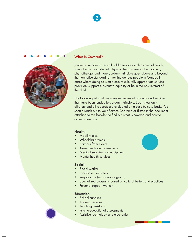

2



### What is Covered?

Jordan's Principle covers all public services such as mental health, special education, dental, physical therapy, medical equipment, physiotherapy and more. Jordan's Principle goes above and beyond the normative standard for non-Indigenous people in Canada in cases where doing so would ensure culturally appropriate service provision, support substantive equality or be in the best interest of the child.

The following list contains some examples of products and services that have been funded by Jordan's Principle. Each situation is different and all requests are evaluated on a case-by-case basis. You should reach out to your Service Coordinator (listed in the document attached to this booklet) to find out what is covered and how to access coverage.

### Health:

- Mobility aids
- Wheelchair ramps
- Services from Elders
- Assessments and screenings
- Medical supplies and equipment
- Mental health services

### Social:

- Social worker
- Land-based activities
- Respite care (individual or group)
- Specialized programs based on cultural beliefs and practices
- Personal support worker

### Education:

- School supplies
- **Tutoring services**
- Teaching assistants
- Psycho-educational assessments
- Assistive technology and electronics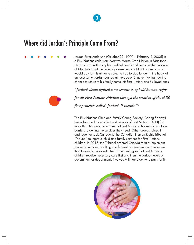# Where did Jordan's Principle Come From?

Jordan River Anderson (October 22, 1999 – February 2, 2005) is a First Nations child from Norway House Cree Nation in Manitoba. He was born with complex medical needs and because the province of Manitoba and the federal government could not agree on who would pay for his at-home care, he had to stay longer in the hospital unnecessarily. Jordan passed at the age of 5, never having had the chance to return to his family home, his First Nation, and his loved ones.

*"Jordan's death ignited a movement to uphold human rights for all First Nations children through the creation of the child first principle called 'Jordan's Principle.'"1*

The First Nations Child and Family Caring Society (Caring Society) has advocated alongside the Assembly of First Nations (AFN) for more than ten years to ensure that First Nations children do not face barriers to getting the services they need. Other groups joined in and together took Canada to the Canadian Human Rights Tribunal (Tribunal) to improve child and family services for First Nations children. In 2016, the Tribunal ordered Canada to fully implement Jordan's Principle, resulting in a federal government announcement that it would comply with the Tribunal ruling so that First Nations children receive necessary care first and then the various levels of government or departments involved will figure out who pays for it.



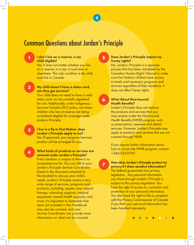## Common Questions about Jordan's Principle

### I don't live on a reserve, is my child eligible?

Yes. It does not matter whether you live on a reserve, in a city, a rural area or elsewhere. The only condition is the child must live in Canada.

### My child doesn't have a status card, can they get services? 2

Your child does not need to have a valid status card, nor be currently registered for one. Additionally, under Indigenous Services Canada (ISC) policy, non-status children who live on-reserve are being considered eligible for coverage under Jordan's Principle.

I live in a fly-in First Nation, does Jordan's Principle apply to me? Yes. If approved, your program/service/ product will be arranged for you.

**THOM Questions about Jordan's Principle<br>
The shell engine and the same of the same of the same of the same of the same of the same of the same of the same of the same of the same of the same of the same of the same of th** What kinds of products or services are covered under Jordan's Principle? Every situation is unique so there is no comprehensive list. You can talk to your Jordan's Principle Service Coordinator (listed in the document attached to this booklet) to discuss your child's needs. Jordan's Principle covers a very wide range of services, programs and products, including: respite care; speech therapy; schooling supports; medical equipment; mental health supports; and more. It's important to remember that items not included in this Handbook may also be covered, and your Service Coordinator can provide more information on what can be covered.

### Does Jordan's Principle impact my Treaty rights?

No. Jordan's Principle is a separate process that has been mandated by the Canadian Human Rights Tribunal to make sure First Nations children have access to timely and necessary programs and services regardless of their residence. It does not affect Treaty rights.

### What About Non-Insured Health Benefits? 6

Jordan's Principle does not replace the products and services that you may receive under the Non-Insured Health Benefits (NIHB) program, such as prescriptions, eyewear and dental services. However, Jordan's Principle may apply to products and services that are not covered through NIHB.

If you require further information about how to access the NIHB program, contact: 1-866-225-0709.

7

5

4

### How does Jordan's Principle protect my privacy if I share sensitive information?

The federal government has privacy legislation. Any personal information you share through Jordan's Principle is subject to this privacy legislation. You have the right of access to, correction and protection of your personal information. You also have the right to file a complaint with the Privacy Commissioner of Canada if you think your personal information has been handled improperly.

3

4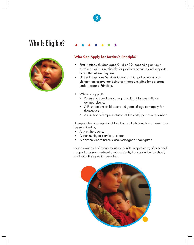# Who Is Eligible?



### Who Can Apply for Jordan's Principle?

- First Nations children aged 0-18 or 19, depending on your province's rules, are eligible for products, services and supports, no matter where they live.
- Under Indigenous Services Canada (ISC) policy, non-status children on-reserve are being considered eligible for coverage under Jordan's Principle.
- Who can apply?
	- Parents or guardians caring for a First Nations child as defined above.
	- A First Nations child above 16 years of age can apply for themselves.
	- An authorized representative of the child, parent or guardian.

A request for a group of children from multiple families or parents can be submitted by:

- Any of the above.
- A community or service provider.
- A Service Coordinator, Case Manager or Navigator.

Some examples of group requests include: respite care; after-school support programs; educational assistants; transportation to school; and local therapeutic specialists.



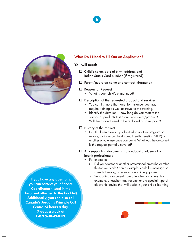

### What Do I Need to Fill Out an Application?

### You will need:

- $\Box$  Child's name, date of birth, address and Indian Status Card number (if registered)
- $\Box$  Parent/guardian name and contact information
- $\square$  Reason for Request
	- What is your child's unmet need?
- $\square$  Description of the requested product and services
	- You can list more than one: for instance, you may require training as well as travel to the training.
	- Identify the duration how long do you require the service or product? Is it a one-time event/product? Will the product need to be replaced at some point?
- $\Box$  History of the request
	- Has this been previously submitted to another program or service, for instance Non-Insured Health Benefits (NIHB) or another private insurance company? What was the outcome? Is the request partially covered?
- $\Box$  Any supporting documents from educational, social or health professionals
	- For example:
		- » Did your doctor or another professional prescribe or refer this for your child? Some examples could be massage or speech therapy, or even ergonomic equipment.
		- » Supporting document from a teacher, or others. For example, a teacher may recommend a special type of electronic device that will assist in your child's learning.

If you have any questions, you can contact your Service Coordinator (listed in the document attached to this booklet). Additionally, you can also call Canada's Jordan's Principle Call Centre 24 hours a day, 7 days a week at 1-855-JP-CHILD.

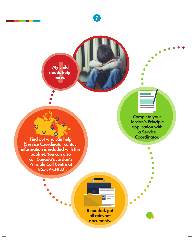! My child needs help, now.

> Complete your Jordan's Principle application with a Service Coordinator.

Find out who can help (Service Coordinator contact information is included with this booklet. You can also call Canada's Jordan's Principle Call Centre at 1-855-JP-CHILD).

> If needed, get all relevant documents.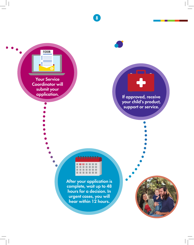

**FORM** 



8

If approved, receive your child's product, support or service.



After your application is complete, wait up to 48 hours for a decision. In urgent cases, you will hear within 12 hours.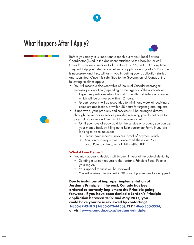# What Happens After I Apply?



Before you apply, it is important to reach out to your local Service Coordinator (listed in the document attached to this booklet) or call Canada's Jordan's Principle Call Centre at 1-855-JP-CHILD at any time. They will help you determine whether an application to Jordan's Principle is necessary, and if so, will assist you in getting your application started and submitted. Once it is submitted to the Government of Canada, the following timelines apply:

9

- You will receive a decision within 48 hours of Canada receiving all necessary information (depending on the urgency of the application):
	- Urgent requests are when the child's health and safety is a concern, which will be answered within 12 hours.
	- Group requests will be responded to within one week of receiving a complete application, or within 48 hours for urgent group requests.
- If approved, your products and services will be arranged directly through the vendor or service provider, meaning you do not have to pay out of pocket and then wait to be reimbursed.
	- Or, if you have already paid for the service or product, you can get your money back by filling out a Reimbursement Form. If you are looking to be reimbursed:
		- » Please have receipts, invoices, proof of payment ready.
		- » You can also request assistance to fill these out. Your Focal Point can help, or call 1-855-JP-CHILD.

### What if I am Denied?

- You may appeal a decision within one (1) year of the date of denial by:
	- Sending a written request to the Jordan's Principle Focal Point in your region.
	- Your appeal request will be reviewed.
	- You will receive a decision within 30 days of your request for an appeal.

Due to instances of improper implementation of Jordan's Principle in the past, Canada has been ordered to correctly implement the Principle going forward. If you have been denied a Jordan's Principle application between 2007 and May 2017, you could have your case reviewed by contacting: 1-855-JP-CHILD (1-855-572-4453), TTY 1-866-553-0554, or visit www.canada.gc.ca/jordans-principle.

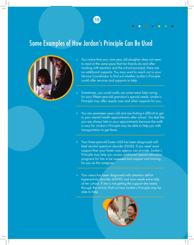# Some Examples of How Jordan's Principle Can Be Used



- You notice that your nine-year old daughter does not seem to read at the same pace that her friends do and after working with teachers and the school principal, there are no additional supports. You may want to reach out to your Service Coordinator to find out whether Jordan's Principle could offer services and supports to help.
- Sometimes, you could really use some extra help caring for your fifteen-year-old grandson's special needs. Jordan's Principle may offer respite care and other supports for you.
- » You are seventeen years old and are finding it difficult to get to your mental health appointments after school. You feel like you are always late to your appointments because the walk is very far. Jordan's Principle may be able to help you with transportation to get there.
- » Your three-year-old foster child has been diagnosed with fetal alcohol spectrum disorder (FASD). If you need more support than your foster care agency can provide, Jordan's Principle may help you access additional special education programs for him to be assessed and support and training for you as the caregiver.
- » Your niece has been diagnosed with attention deficit hyperactivity disorder (ADHD) and now needs extra help at her school. If she is not getting the support she needs through the school, find out how Jordan's Principle may be able to help.

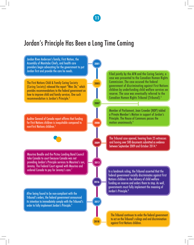# Jordan's Principle Has Been a Long Time Coming

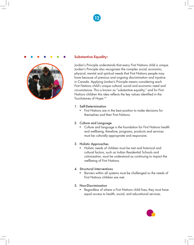



### Substantive Equality:

Jordan's Principle understands that every First Nations child is unique. Jordan's Principle also recognizes the complex social, economic, physical, mental and spiritual needs that First Nations people may have because of previous and ongoing discrimination and injustice in Canada. Applying Jordan's Principle means considering each First Nations child's unique cultural, social and economic need and circumstance. This is known as "substantive equality," and for First Nations children this idea reflects the key values identified in the Touchstones of Hope:<sup>10</sup>

- 1. Self-Determination
	- First Nations are in the best position to make decisions for themselves and their First Nations.

### 2. Culture and Language

• Culture and language is the foundation for First Nations health and wellbeing, therefore, programs, products and services must be culturally-appropriate and responsive.

### 3. Holistic Approaches

• Holistic needs of children must be met and historical and cultural factors, such as Indian Residential Schools and colonization, must be understood as continuing to impact the wellbeing of First Nations.

### 4. Structural Interventions

• Barriers within all systems must be challenged so the needs of First Nations children are met.

### 5. Non-Discrimination

• Regardless of where a First Nations child lives, they must have equal access to health, social, and educational services.

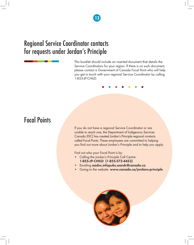# Regional Service Coordinator contacts for requests under Jordan's Principle

This booklet should include an inserted document that details the Service Coordinators for your region. If there is no such document, please contact a Government of Canada Focal Point who will help you get in touch with your regional Service Coordinator by calling 1-855-JP-CHILD.

# Focal Points

If you do not have a regional Service Coordinator or are unable to reach one, the Department of Indigenous Services Canada (ISC) has created Jordan's Principle regional contacts called Focal Points. These employees are committed to helping you find out more about Jordan's Principle and to help you apply.

Find out who your Focal Point is by:

- Calling the Jordan's Principle Call Centre: 1-855-JP-CHILD (1-855-572-4453)
- Emailing aadnc.infopubs.aandc@canada.ca
- Going to the website: www.canada.ca/jordans-principle

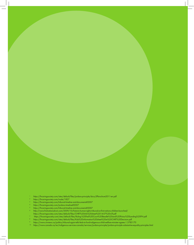- https://fncaringsociety.com/sites/default/files/jordans-principle/docs/JPbrochure2011-en.pdf<br>https://fncaringsociety.com/node/1827<br>https://fncaringsociety.com/tribunal-timeline-and-documents#2007
- 
- 
- 
- https://fncaringsociety.com/jordans-timeline#2007<br>https://fncaringsociety.com/tribunal-timeline-and-documents#2007
- <sup>5</sup>https://fncaringsociety.com/tribunal-timeline-and-documents#2007<br><sup>6</sup> http://www.firstnationsdrum.com/2009/10/historic-human-rights-tribunal-on-first-nations-children-launched/
- https://fncaringsociety.com/sites/default/files/CHRT%20info%20sheet%2014-07%20v3f.pdf
- mps://meaningsociety.com/sites/default/files/Ruling-%20Fed%20Court%20Beadle%20and%20Pictou%20Landing%20FN.pdf<br>https://fncaringsociety.com/sites/default/files/Ruling-%20Fed%20Court%20Beadle%20and%20Pictou%20Landing%20FN.pdf
- 
- 
- <sup>9</sup> https://www.ctvnews.ca/politics/tribunal-again-tells-feds-to-fund-indigenous-child-welfare-minister-agrees-1.3785170<br><sup>10</sup> https://www.canada.ca/en/indigenous-services-canada/services/jordans-principle/jordans-principle